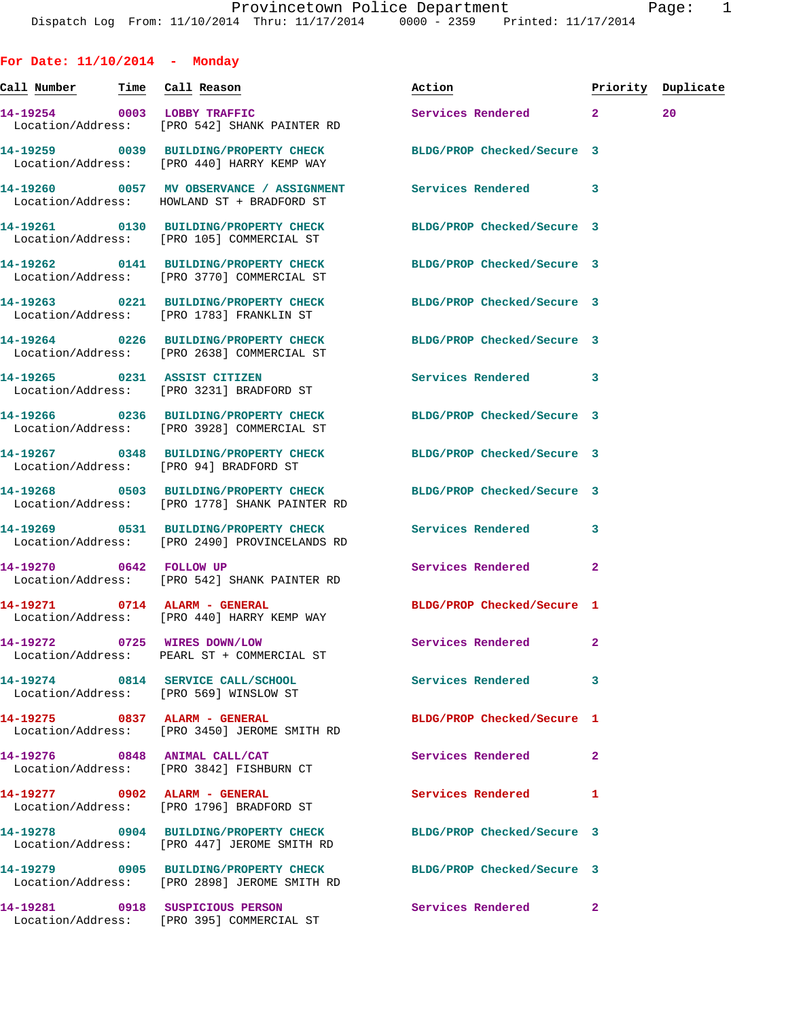**For Date: 11/10/2014 - Monday Call Number Time Call Reason Action Priority Duplicate 14-19254 0003 LOBBY TRAFFIC Services Rendered 2 20**  Location/Address: [PRO 542] SHANK PAINTER RD **14-19259 0039 BUILDING/PROPERTY CHECK BLDG/PROP Checked/Secure 3**  Location/Address: [PRO 440] HARRY KEMP WAY **14-19260 0057 MV OBSERVANCE / ASSIGNMENT Services Rendered 3**  Location/Address: HOWLAND ST + BRADFORD ST **14-19261 0130 BUILDING/PROPERTY CHECK BLDG/PROP Checked/Secure 3**  Location/Address: [PRO 105] COMMERCIAL ST **14-19262 0141 BUILDING/PROPERTY CHECK BLDG/PROP Checked/Secure 3**  Location/Address: [PRO 3770] COMMERCIAL ST **14-19263 0221 BUILDING/PROPERTY CHECK BLDG/PROP Checked/Secure 3**  Location/Address: [PRO 1783] FRANKLIN ST **14-19264 0226 BUILDING/PROPERTY CHECK BLDG/PROP Checked/Secure 3**  Location/Address: [PRO 2638] COMMERCIAL ST **14-19265 0231 ASSIST CITIZEN Services Rendered 3**  Location/Address: [PRO 3231] BRADFORD ST **14-19266 0236 BUILDING/PROPERTY CHECK BLDG/PROP Checked/Secure 3**  Location/Address: [PRO 3928] COMMERCIAL ST **14-19267 0348 BUILDING/PROPERTY CHECK BLDG/PROP Checked/Secure 3**  Location/Address: [PRO 94] BRADFORD ST **14-19268 0503 BUILDING/PROPERTY CHECK BLDG/PROP Checked/Secure 3**  Location/Address: [PRO 1778] SHANK PAINTER RD **14-19269 0531 BUILDING/PROPERTY CHECK Services Rendered 3**  Location/Address: [PRO 2490] PROVINCELANDS RD **14-19270 0642 FOLLOW UP Services Rendered 2**  Location/Address: [PRO 542] SHANK PAINTER RD **14-19271 0714 ALARM - GENERAL BLDG/PROP Checked/Secure 1**  Location/Address: [PRO 440] HARRY KEMP WAY **14-19272 0725 WIRES DOWN/LOW Services Rendered 2**  Location/Address: PEARL ST + COMMERCIAL ST **14-19274 0814 SERVICE CALL/SCHOOL Services Rendered 3**  Location/Address: [PRO 569] WINSLOW ST **14-19275 0837 ALARM - GENERAL BLDG/PROP Checked/Secure 1**  Location/Address: [PRO 3450] JEROME SMITH RD **14-19276 0848 ANIMAL CALL/CAT Services Rendered 2**  Location/Address: [PRO 3842] FISHBURN CT **14-19277 0902 ALARM - GENERAL Services Rendered 1**  Location/Address: [PRO 1796] BRADFORD ST **14-19278 0904 BUILDING/PROPERTY CHECK BLDG/PROP Checked/Secure 3**  Location/Address: [PRO 447] JEROME SMITH RD **14-19279 0905 BUILDING/PROPERTY CHECK BLDG/PROP Checked/Secure 3**  Location/Address: [PRO 2898] JEROME SMITH RD

**14-19281 0918 SUSPICIOUS PERSON Services Rendered 2** 

Location/Address: [PRO 395] COMMERCIAL ST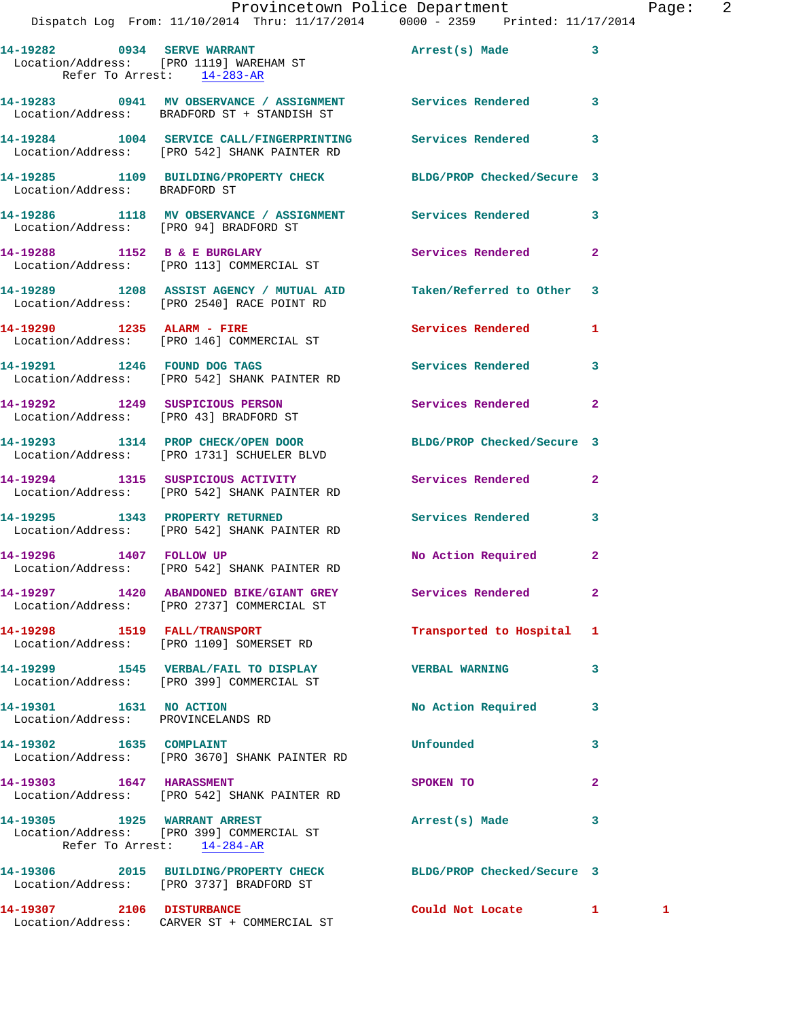|                           | Dispatch Log From: 11/10/2014 Thru: 11/17/2014 0000 - 2359 Printed: 11/17/2014                                   | Provincetown Police Department |              | Page: 2 |  |
|---------------------------|------------------------------------------------------------------------------------------------------------------|--------------------------------|--------------|---------|--|
|                           | 14-19282 0934 SERVE WARRANT<br>Location/Address: [PRO 1119] WAREHAM ST<br>Refer To Arrest: $14-283-AR$           | Arrest(s) Made 3               |              |         |  |
|                           | 14-19283 0941 MV OBSERVANCE / ASSIGNMENT Services Rendered 3<br>Location/Address: BRADFORD ST + STANDISH ST      |                                |              |         |  |
|                           | 14-19284 1004 SERVICE CALL/FINGERPRINTING Services Rendered 3<br>Location/Address: [PRO 542] SHANK PAINTER RD    |                                |              |         |  |
|                           | 14-19285   1109   BUILDING/PROPERTY CHECK   BLDG/PROP Checked/Secure   3   Location/Address:   BRADFORD ST       |                                |              |         |  |
|                           | 14-19286 1118 MV OBSERVANCE / ASSIGNMENT Services Rendered 3<br>Location/Address: [PRO 94] BRADFORD ST           |                                |              |         |  |
|                           | 14-19288 1152 B & E BURGLARY<br>Location/Address: [PRO 113] COMMERCIAL ST                                        | Services Rendered 2            |              |         |  |
|                           | 14-19289 1208 ASSIST AGENCY / MUTUAL AID Taken/Referred to Other 3<br>Location/Address: [PRO 2540] RACE POINT RD |                                |              |         |  |
|                           | 14-19290 1235 ALARM - FIRE<br>Location/Address: [PRO 146] COMMERCIAL ST                                          | Services Rendered 1            |              |         |  |
|                           | 14-19291 1246 FOUND DOG TAGS<br>Location/Address: [PRO 542] SHANK PAINTER RD                                     | Services Rendered 3            |              |         |  |
|                           | 14-19292 1249 SUSPICIOUS PERSON Services Rendered 2<br>Location/Address: [PRO 43] BRADFORD ST                    |                                |              |         |  |
|                           | 14-19293 1314 PROP CHECK/OPEN DOOR<br>Location/Address: [PRO 1731] SCHUELER BLVD                                 | BLDG/PROP Checked/Secure 3     |              |         |  |
|                           | 14-19294 1315 SUSPICIOUS ACTIVITY 1999 Services Rendered 2<br>Location/Address: [PRO 542] SHANK PAINTER RD       |                                |              |         |  |
|                           | 14-19295 1343 PROPERTY RETURNED<br>Location/Address: [PRO 542] SHANK PAINTER RD                                  | Services Rendered 3            |              |         |  |
| 14-19296 1407 FOLLOW UP   | Location/Address: [PRO 542] SHANK PAINTER RD                                                                     | No Action Required 2           |              |         |  |
|                           | 14-19297 1420 ABANDONED BIKE/GIANT GREY Services Rendered<br>Location/Address: [PRO 2737] COMMERCIAL ST          |                                | $\mathbf{2}$ |         |  |
|                           | 14-19298 1519 FALL/TRANSPORT<br>Location/Address: [PRO 1109] SOMERSET RD                                         | Transported to Hospital 1      |              |         |  |
|                           | 14-19299 1545 VERBAL/FAIL TO DISPLAY VERBAL WARNING<br>Location/Address: [PRO 399] COMMERCIAL ST                 |                                | 3            |         |  |
| 14-19301 1631 NO ACTION   | Location/Address: PROVINCELANDS RD                                                                               | No Action Required 3           |              |         |  |
|                           | 14-19302 1635 COMPLAINT<br>Location/Address: [PRO 3670] SHANK PAINTER RD                                         | Unfounded                      | 3            |         |  |
| 14-19303 1647 HARASSMENT  | Location/Address: [PRO 542] SHANK PAINTER RD                                                                     | SPOKEN TO                      | $\mathbf{2}$ |         |  |
|                           | 14-19305 1925 WARRANT ARREST<br>Location/Address: [PRO 399] COMMERCIAL ST<br>Refer To Arrest: 14-284-AR          | Arrest(s) Made                 | 3            |         |  |
|                           | 14-19306 2015 BUILDING/PROPERTY CHECK BLDG/PROP Checked/Secure 3<br>Location/Address: [PRO 3737] BRADFORD ST     |                                |              |         |  |
| 14-19307 2106 DISTURBANCE |                                                                                                                  | Could Not Locate 1 and 1       |              |         |  |

Location/Address: CARVER ST + COMMERCIAL ST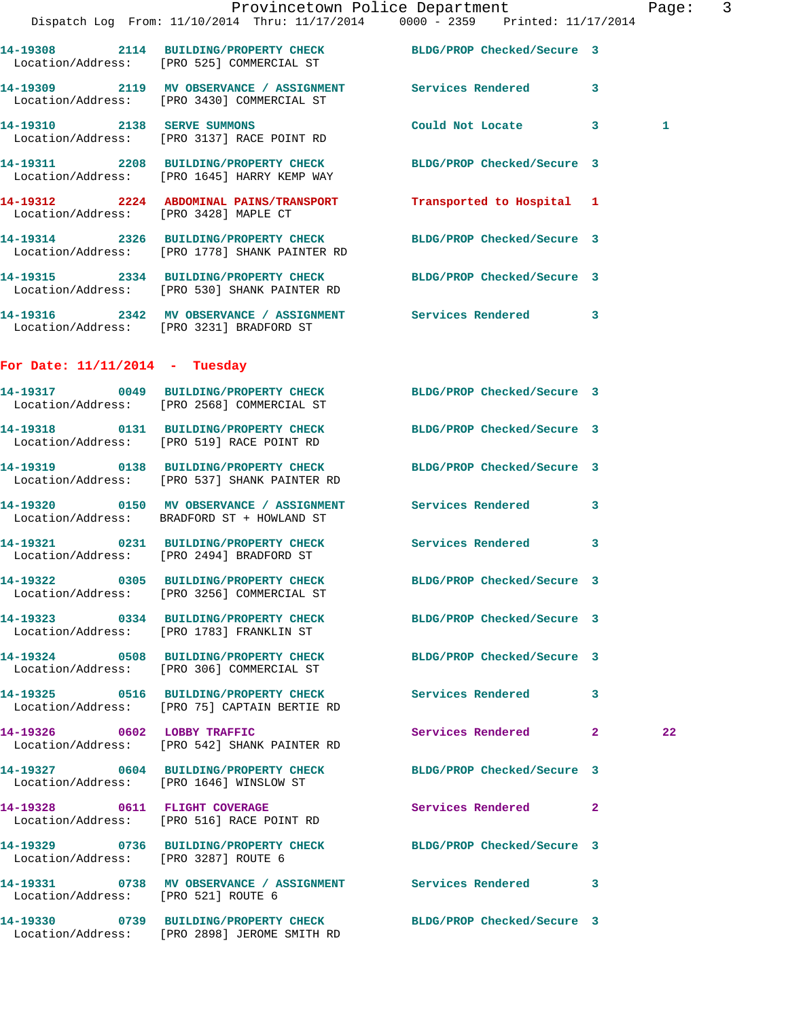|                                       | Provincetown Police Department<br>Dispatch Log From: 11/10/2014 Thru: 11/17/2014 0000 - 2359 Printed: 11/17/2014  |                            | Page: 3      |  |
|---------------------------------------|-------------------------------------------------------------------------------------------------------------------|----------------------------|--------------|--|
|                                       | 14-19308 2114 BUILDING/PROPERTY CHECK BLDG/PROP Checked/Secure 3<br>Location/Address: [PRO 525] COMMERCIAL ST     |                            |              |  |
|                                       | 14-19309 2119 MV OBSERVANCE / ASSIGNMENT Services Rendered 3<br>Location/Address: [PRO 3430] COMMERCIAL ST        |                            |              |  |
|                                       | 14-19310 2138 SERVE SUMMONS<br>Location/Address: [PRO 3137] RACE POINT RD                                         | Could Not Locate 3         | $\mathbf{1}$ |  |
|                                       | 14-19311 2208 BUILDING/PROPERTY CHECK BLDG/PROP Checked/Secure 3<br>Location/Address: [PRO 1645] HARRY KEMP WAY   |                            |              |  |
| Location/Address: [PRO 3428] MAPLE CT | 14-19312 2224 ABDOMINAL PAINS/TRANSPORT                                                                           | Transported to Hospital 1  |              |  |
|                                       | 14-19314 2326 BUILDING/PROPERTY CHECK BLDG/PROP Checked/Secure 3<br>Location/Address: [PRO 1778] SHANK PAINTER RD |                            |              |  |
|                                       | 14-19315 2334 BUILDING/PROPERTY CHECK BLDG/PROP Checked/Secure 3<br>Location/Address: [PRO 530] SHANK PAINTER RD  |                            |              |  |
|                                       | 14-19316 2342 MV OBSERVANCE / ASSIGNMENT Services Rendered 3<br>Location/Address: [PRO 3231] BRADFORD ST          |                            |              |  |
| For Date: $11/11/2014$ - Tuesday      |                                                                                                                   |                            |              |  |
|                                       | 14-19317 0049 BUILDING/PROPERTY CHECK BLDG/PROP Checked/Secure 3<br>Location/Address: [PRO 2568] COMMERCIAL ST    |                            |              |  |
|                                       | 14-19318 0131 BUILDING/PROPERTY CHECK BLDG/PROP Checked/Secure 3<br>Location/Address: [PRO 519] RACE POINT RD     |                            |              |  |
|                                       | 14-19319 0138 BUILDING/PROPERTY CHECK BLDG/PROP Checked/Secure 3<br>Location/Address: [PRO 537] SHANK PAINTER RD  |                            |              |  |
|                                       | 14-19320 0150 MV OBSERVANCE / ASSIGNMENT Services Rendered 3<br>Location/Address: BRADFORD ST + HOWLAND ST        |                            |              |  |
|                                       | 14-19321 0231 BUILDING/PROPERTY CHECK Services Rendered 3<br>Location/Address: [PRO 2494] BRADFORD ST             |                            |              |  |
|                                       | 14-19322 0305 BUILDING/PROPERTY CHECK<br>Location/Address: [PRO 3256] COMMERCIAL ST                               | BLDG/PROP Checked/Secure 3 |              |  |
|                                       | 14-19323 0334 BUILDING/PROPERTY CHECK BLDG/PROP Checked/Secure 3<br>Location/Address: [PRO 1783] FRANKLIN ST      |                            |              |  |
|                                       | 14-19324 0508 BUILDING/PROPERTY CHECK<br>Location/Address: [PRO 306] COMMERCIAL ST                                | BLDG/PROP Checked/Secure 3 |              |  |
|                                       | 14-19325 0516 BUILDING/PROPERTY CHECK Services Rendered 3<br>Location/Address: [PRO 75] CAPTAIN BERTIE RD         |                            |              |  |
|                                       | 14-19326 0602 LOBBY TRAFFIC<br>Location/Address: [PRO 542] SHANK PAINTER RD                                       | Services Rendered 2        | 22           |  |
|                                       | 14-19327 0604 BUILDING/PROPERTY CHECK BLDG/PROP Checked/Secure 3<br>Location/Address: [PRO 1646] WINSLOW ST       |                            |              |  |
|                                       | 14-19328 0611 FLIGHT COVERAGE<br>Location/Address: [PRO 516] RACE POINT RD                                        | Services Rendered 2        |              |  |
| Location/Address: [PRO 3287] ROUTE 6  | 14-19329 0736 BUILDING/PROPERTY CHECK BLDG/PROP Checked/Secure 3                                                  |                            |              |  |
| Location/Address: [PRO 521] ROUTE 6   | 14-19331 0738 MV OBSERVANCE / ASSIGNMENT Services Rendered 3                                                      |                            |              |  |
|                                       | 14-19330 0739 BUILDING/PROPERTY CHECK BLDG/PROP Checked/Secure 3                                                  |                            |              |  |

Location/Address: [PRO 2898] JEROME SMITH RD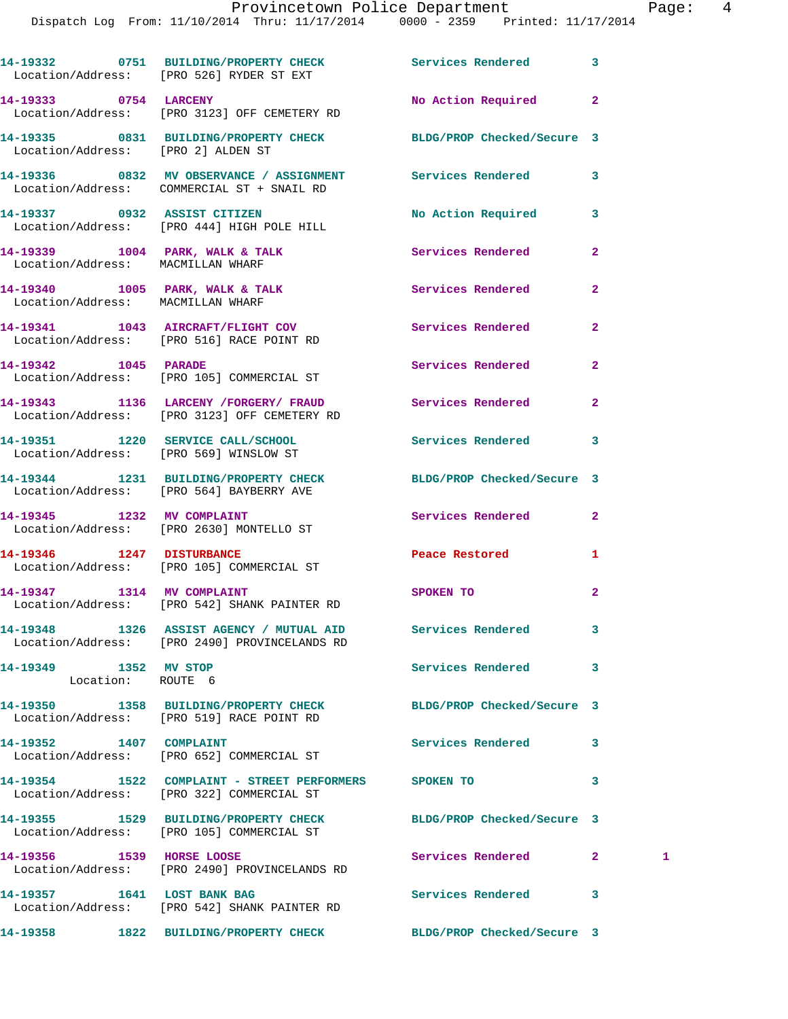## Provincetown Police Department Fage: 4

Dispatch Log From: 11/10/2014 Thru: 11/17/2014 0000 - 2359 Printed: 11/17/2014

|                                            | 14-19332 0751 BUILDING/PROPERTY CHECK Services Rendered<br>Location/Address: [PRO 526] RYDER ST EXT          |                                       | 3              |    |
|--------------------------------------------|--------------------------------------------------------------------------------------------------------------|---------------------------------------|----------------|----|
| 14-19333 0754 LARCENY                      | Location/Address: [PRO 3123] OFF CEMETERY RD                                                                 | No Action Required                    | $\overline{2}$ |    |
| Location/Address: [PRO 2] ALDEN ST         | 14-19335 0831 BUILDING/PROPERTY CHECK BLDG/PROP Checked/Secure 3                                             |                                       |                |    |
|                                            | 14-19336 6 0832 MV OBSERVANCE / ASSIGNMENT Services Rendered<br>Location/Address: COMMERCIAL ST + SNAIL RD   |                                       | 3              |    |
|                                            | 14-19337 0932 ASSIST CITIZEN<br>Location/Address: [PRO 444] HIGH POLE HILL                                   | No Action Required                    | 3              |    |
| Location/Address: MACMILLAN WHARF          | 14-19339 1004 PARK, WALK & TALK                                                                              | Services Rendered                     | $\mathbf{2}$   |    |
| Location/Address: MACMILLAN WHARF          | 14-19340 1005 PARK, WALK & TALK                                                                              | Services Rendered                     | $\overline{a}$ |    |
|                                            | 14-19341 1043 AIRCRAFT/FLIGHT COV<br>Location/Address: [PRO 516] RACE POINT RD                               | Services Rendered                     | $\mathbf{2}$   |    |
| 14-19342 1045 PARADE                       | Location/Address: [PRO 105] COMMERCIAL ST                                                                    | Services Rendered                     | $\mathbf{2}$   |    |
|                                            | 14-19343 1136 LARCENY / FORGERY / FRAUD Services Rendered<br>Location/Address: [PRO 3123] OFF CEMETERY RD    |                                       | $\overline{2}$ |    |
| Location/Address: [PRO 569] WINSLOW ST     | 14-19351 1220 SERVICE CALL/SCHOOL 5ervices Rendered                                                          |                                       | 3              |    |
|                                            | 14-19344 1231 BUILDING/PROPERTY CHECK BLDG/PROP Checked/Secure 3<br>Location/Address: [PRO 564] BAYBERRY AVE |                                       |                |    |
|                                            | 14-19345 1232 MV COMPLAINT<br>Location/Address: [PRO 2630] MONTELLO ST                                       | Services Rendered                     | $\mathbf{2}$   |    |
| 14-19346 1247 DISTURBANCE                  | Location/Address: [PRO 105] COMMERCIAL ST                                                                    | Peace Restored and the Peace Restored | 1              |    |
|                                            | 14-19347 1314 MV COMPLAINT<br>Location/Address: [PRO 542] SHANK PAINTER RD                                   | SPOKEN TO                             | $\mathbf{2}$   |    |
|                                            | 14-19348 1326 ASSIST AGENCY / MUTUAL AID Services Rendered<br>Location/Address: [PRO 2490] PROVINCELANDS RD  |                                       | 3              |    |
| 14-19349 1352 MV STOP<br>Location: ROUTE 6 |                                                                                                              | <b>Services Rendered</b>              | 3              |    |
|                                            | 14-19350 1358 BUILDING/PROPERTY CHECK<br>Location/Address: [PRO 519] RACE POINT RD                           | BLDG/PROP Checked/Secure 3            |                |    |
| 14-19352 1407 COMPLAINT                    | Location/Address: [PRO 652] COMMERCIAL ST                                                                    | Services Rendered                     | 3              |    |
|                                            | 14-19354 1522 COMPLAINT - STREET PERFORMERS SPOKEN TO<br>Location/Address: [PRO 322] COMMERCIAL ST           |                                       | 3              |    |
|                                            | 14-19355 1529 BUILDING/PROPERTY CHECK<br>Location/Address: [PRO 105] COMMERCIAL ST                           | BLDG/PROP Checked/Secure 3            |                |    |
| 14-19356 1539 HORSE LOOSE                  | Location/Address: [PRO 2490] PROVINCELANDS RD                                                                | Services Rendered                     | 2 <sup>1</sup> | 1. |
| 14-19357 1641 LOST BANK BAG                |                                                                                                              | Services Rendered                     | 3              |    |

Location/Address: [PRO 542] SHANK PAINTER RD

**14-19358 1822 BUILDING/PROPERTY CHECK BLDG/PROP Checked/Secure 3**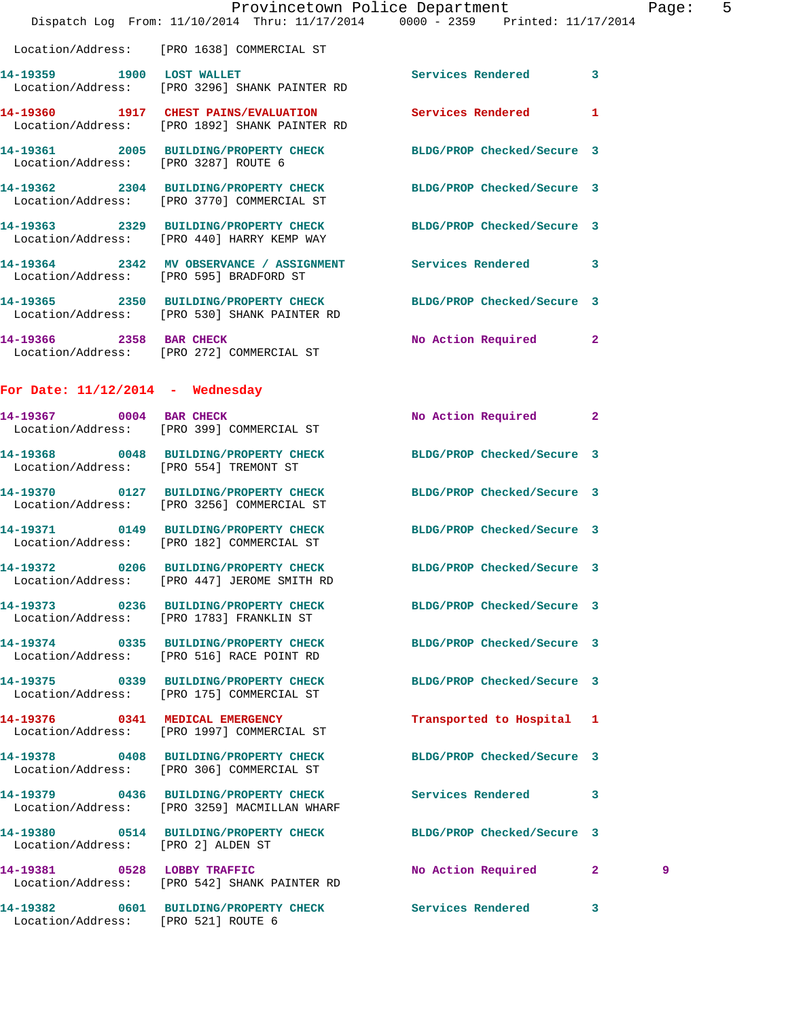|                                      |                                                                                       | Provincetown Police Department                                                                                 | Page: | 5 |
|--------------------------------------|---------------------------------------------------------------------------------------|----------------------------------------------------------------------------------------------------------------|-------|---|
|                                      |                                                                                       | Dispatch Log From: 11/10/2014 Thru: 11/17/2014 0000 - 2359 Printed: 11/17/2014                                 |       |   |
|                                      | Location/Address: [PRO 1638] COMMERCIAL ST                                            |                                                                                                                |       |   |
|                                      | 14-19359 1900 LOST WALLET<br>Location/Address: [PRO 3296] SHANK PAINTER RD            | Services Rendered 3                                                                                            |       |   |
|                                      | Location/Address: [PRO 1892] SHANK PAINTER RD                                         | 14-19360 1917 CHEST PAINS/EVALUATION Services Rendered 1                                                       |       |   |
| Location/Address: [PRO 3287] ROUTE 6 |                                                                                       | 14-19361 2005 BUILDING/PROPERTY CHECK BLDG/PROP Checked/Secure 3                                               |       |   |
|                                      | Location/Address: [PRO 3770] COMMERCIAL ST                                            | 14-19362 2304 BUILDING/PROPERTY CHECK BLDG/PROP Checked/Secure 3                                               |       |   |
|                                      |                                                                                       | 14-19363 2329 BUILDING/PROPERTY CHECK BLDG/PROP Checked/Secure 3<br>Location/Address: [PRO 440] HARRY KEMP WAY |       |   |
|                                      | Location/Address: [PRO 595] BRADFORD ST                                               | 14-19364 2342 MV OBSERVANCE / ASSIGNMENT Services Rendered 3                                                   |       |   |
|                                      | Location/Address: [PRO 530] SHANK PAINTER RD                                          | 14-19365 2350 BUILDING/PROPERTY CHECK BLDG/PROP Checked/Secure 3                                               |       |   |
|                                      | 14-19366 2358 BAR CHECK<br>Location/Address: [PRO 272] COMMERCIAL ST                  | No Action Required 2                                                                                           |       |   |
| For Date: $11/12/2014$ - Wednesday   |                                                                                       |                                                                                                                |       |   |
|                                      | 14-19367 0004 BAR CHECK<br>Location/Address: [PRO 399] COMMERCIAL ST                  | No Action Required 2                                                                                           |       |   |
|                                      | Location/Address: [PRO 554] TREMONT ST                                                | 14-19368 0048 BUILDING/PROPERTY CHECK BLDG/PROP Checked/Secure 3                                               |       |   |
|                                      | 14-19370 0127 BUILDING/PROPERTY CHECK<br>Location/Address: [PRO 3256] COMMERCIAL ST   | BLDG/PROP Checked/Secure 3                                                                                     |       |   |
|                                      | Location/Address: [PRO 182] COMMERCIAL ST                                             | 14-19371 0149 BUILDING/PROPERTY CHECK BLDG/PROP Checked/Secure 3                                               |       |   |
|                                      | Location/Address: [PRO 447] JEROME SMITH RD                                           | 14-19372 0206 BUILDING/PROPERTY CHECK BLDG/PROP Checked/Secure 3                                               |       |   |
|                                      | Location/Address: [PRO 1783] FRANKLIN ST                                              | 14-19373 0236 BUILDING/PROPERTY CHECK BLDG/PROP Checked/Secure 3                                               |       |   |
|                                      | Location/Address: [PRO 516] RACE POINT RD                                             | 14-19374 0335 BUILDING/PROPERTY CHECK BLDG/PROP Checked/Secure 3                                               |       |   |
|                                      | 14-19375 0339 BUILDING/PROPERTY CHECK<br>Location/Address: [PRO 175] COMMERCIAL ST    | BLDG/PROP Checked/Secure 3                                                                                     |       |   |
|                                      | 14-19376 0341 MEDICAL EMERGENCY<br>Location/Address: [PRO 1997] COMMERCIAL ST         | Transported to Hospital 1                                                                                      |       |   |
|                                      | 14-19378 0408 BUILDING/PROPERTY CHECK<br>Location/Address: [PRO 306] COMMERCIAL ST    | BLDG/PROP Checked/Secure 3                                                                                     |       |   |
|                                      | 14-19379 0436 BUILDING/PROPERTY CHECK<br>Location/Address: [PRO 3259] MACMILLAN WHARF | Services Rendered 3                                                                                            |       |   |
| Location/Address: [PRO 2] ALDEN ST   |                                                                                       | 14-19380 0514 BUILDING/PROPERTY CHECK BLDG/PROP Checked/Secure 3                                               |       |   |
|                                      | 14-19381 0528 LOBBY TRAFFIC<br>Location/Address: [PRO 542] SHANK PAINTER RD           | No Action Required 2                                                                                           | 9     |   |
|                                      |                                                                                       | 14-19382 0601 BUILDING/PROPERTY CHECK Services Rendered 3                                                      |       |   |

Location/Address: [PRO 521] ROUTE 6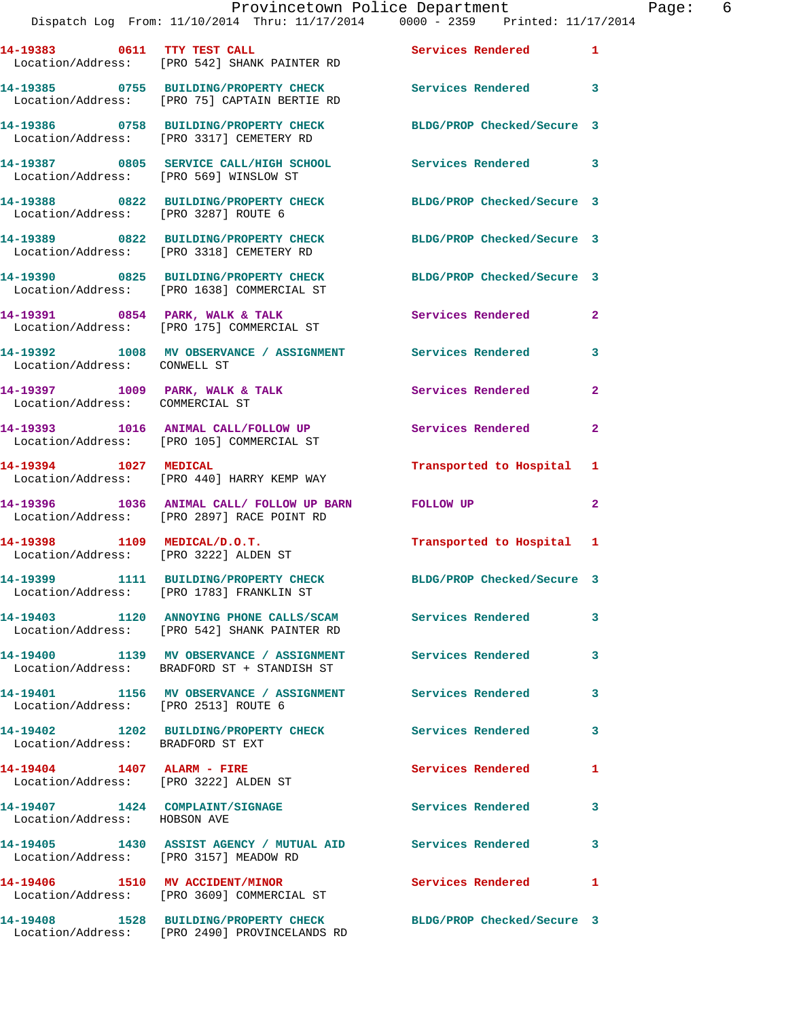Dispatch Log From: 11/10/2014 Thru: 11/17/2014 0000 - 2359 Printed: 11/17/2014 **14-19383 0611 TTY TEST CALL Services Rendered 1**  Location/Address: [PRO 542] SHANK PAINTER RD **14-19385 0755 BUILDING/PROPERTY CHECK Services Rendered 3**  Location/Address: [PRO 75] CAPTAIN BERTIE RD **14-19386 0758 BUILDING/PROPERTY CHECK BLDG/PROP Checked/Secure 3**  Location/Address: [PRO 3317] CEMETERY RD **14-19387 0805 SERVICE CALL/HIGH SCHOOL Services Rendered 3**  Location/Address: [PRO 569] WINSLOW ST **14-19388 0822 BUILDING/PROPERTY CHECK BLDG/PROP Checked/Secure 3**  Location/Address: [PRO 3287] ROUTE 6 **14-19389 0822 BUILDING/PROPERTY CHECK BLDG/PROP Checked/Secure 3**  Location/Address: [PRO 3318] CEMETERY RD **14-19390 0825 BUILDING/PROPERTY CHECK BLDG/PROP Checked/Secure 3**  Location/Address: [PRO 1638] COMMERCIAL ST **14-19391 0854 PARK, WALK & TALK Services Rendered 2**  Location/Address: [PRO 175] COMMERCIAL ST **14-19392 1008 MV OBSERVANCE / ASSIGNMENT Services Rendered 3**  Location/Address: CONWELL ST **14-19397 1009 PARK, WALK & TALK Services Rendered 2**  Location/Address: COMMERCIAL ST **14-19393 1016 ANIMAL CALL/FOLLOW UP Services Rendered 2**  Location/Address: [PRO 105] COMMERCIAL ST **14-19394 1027 MEDICAL Transported to Hospital 1**  Location/Address: [PRO 440] HARRY KEMP WAY **14-19396 1036 ANIMAL CALL/ FOLLOW UP BARN FOLLOW UP 2**  Location/Address: [PRO 2897] RACE POINT RD **14-19398 1109 MEDICAL/D.O.T. Transported to Hospital 1**  Location/Address: [PRO 3222] ALDEN ST **14-19399 1111 BUILDING/PROPERTY CHECK BLDG/PROP Checked/Secure 3**  Location/Address: [PRO 1783] FRANKLIN ST **14-19403 1120 ANNOYING PHONE CALLS/SCAM Services Rendered 3**  Location/Address: [PRO 542] SHANK PAINTER RD **14-19400 1139 MV OBSERVANCE / ASSIGNMENT Services Rendered 3**  Location/Address: BRADFORD ST + STANDISH ST **14-19401 1156 MV OBSERVANCE / ASSIGNMENT Services Rendered 3**  Location/Address: [PRO 2513] ROUTE 6 **14-19402 1202 BUILDING/PROPERTY CHECK Services Rendered 3**  Location/Address: BRADFORD ST EXT **14-19404 1407 ALARM - FIRE Services Rendered 1**  Location/Address: [PRO 3222] ALDEN ST **14-19407 1424 COMPLAINT/SIGNAGE Services Rendered 3**  Location/Address: HOBSON AVE **14-19405 1430 ASSIST AGENCY / MUTUAL AID Services Rendered 3**  Location/Address: [PRO 3157] MEADOW RD **14-19406 1510 MV ACCIDENT/MINOR Services Rendered 1**  Location/Address: [PRO 3609] COMMERCIAL ST **14-19408 1528 BUILDING/PROPERTY CHECK BLDG/PROP Checked/Secure 3** 

Location/Address: [PRO 2490] PROVINCELANDS RD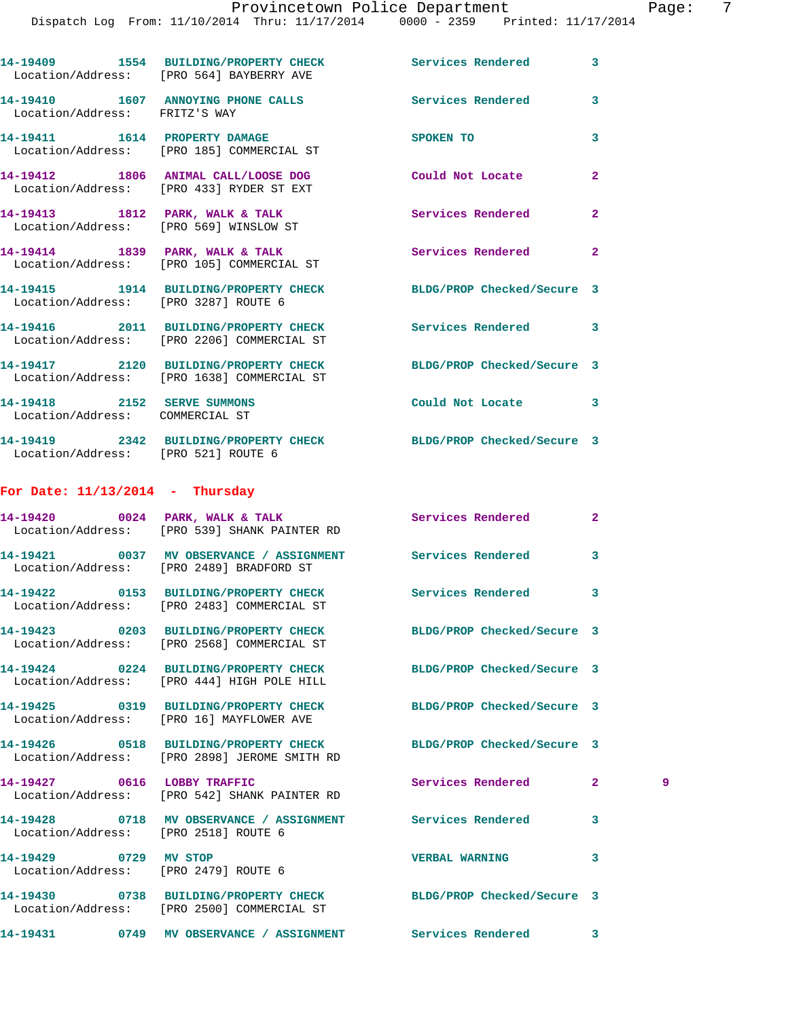**14-19409 1554 BUILDING/PROPERTY CHECK Services Rendered 3** 

Location/Address: [PRO 564] BAYBERRY AVE

**14-19410 1607 ANNOYING PHONE CALLS Services Rendered 3**  Location/Address: FRITZ'S WAY **14-19411 1614 PROPERTY DAMAGE SPOKEN TO 3**  Location/Address: [PRO 185] COMMERCIAL ST **14-19412 1806 ANIMAL CALL/LOOSE DOG Could Not Locate 2**  Location/Address: [PRO 433] RYDER ST EXT **14-19413 1812 PARK, WALK & TALK Services Rendered 2**  Location/Address: [PRO 569] WINSLOW ST **14-19414 1839 PARK, WALK & TALK Services Rendered 2**  Location/Address: [PRO 105] COMMERCIAL ST **14-19415 1914 BUILDING/PROPERTY CHECK BLDG/PROP Checked/Secure 3**  Location/Address: [PRO 3287] ROUTE 6 **14-19416 2011 BUILDING/PROPERTY CHECK Services Rendered 3**  Location/Address: [PRO 2206] COMMERCIAL ST **14-19417 2120 BUILDING/PROPERTY CHECK BLDG/PROP Checked/Secure 3**  Location/Address: [PRO 1638] COMMERCIAL ST **14-19418 2152 SERVE SUMMONS Could Not Locate 3**  Location/Address: COMMERCIAL ST **14-19419 2342 BUILDING/PROPERTY CHECK BLDG/PROP Checked/Secure 3**  Location/Address: [PRO 521] ROUTE 6 **For Date: 11/13/2014 - Thursday 14-19420 0024 PARK, WALK & TALK Services Rendered 2**  Location/Address: [PRO 539] SHANK PAINTER RD **14-19421 0037 MV OBSERVANCE / ASSIGNMENT Services Rendered 3**  Location/Address: [PRO 2489] BRADFORD ST **14-19422 0153 BUILDING/PROPERTY CHECK Services Rendered 3**  Location/Address: [PRO 2483] COMMERCIAL ST **14-19423 0203 BUILDING/PROPERTY CHECK BLDG/PROP Checked/Secure 3**  Location/Address: [PRO 2568] COMMERCIAL ST **14-19424 0224 BUILDING/PROPERTY CHECK BLDG/PROP Checked/Secure 3**  Location/Address: [PRO 444] HIGH POLE HILL **14-19425 0319 BUILDING/PROPERTY CHECK BLDG/PROP Checked/Secure 3**  Location/Address: [PRO 16] MAYFLOWER AVE **14-19426 0518 BUILDING/PROPERTY CHECK BLDG/PROP Checked/Secure 3**  Location/Address: [PRO 2898] JEROME SMITH RD **14-19427 0616 LOBBY TRAFFIC Services Rendered 2 9**  Location/Address: [PRO 542] SHANK PAINTER RD **14-19428 0718 MV OBSERVANCE / ASSIGNMENT Services Rendered 3**  Location/Address: [PRO 2518] ROUTE 6 **14-19429 0729 MV STOP VERBAL WARNING 3**  Location/Address: [PRO 2479] ROUTE 6 **14-19430 0738 BUILDING/PROPERTY CHECK BLDG/PROP Checked/Secure 3**  Location/Address: [PRO 2500] COMMERCIAL ST

**14-19431 0749 MV OBSERVANCE / ASSIGNMENT Services Rendered 3**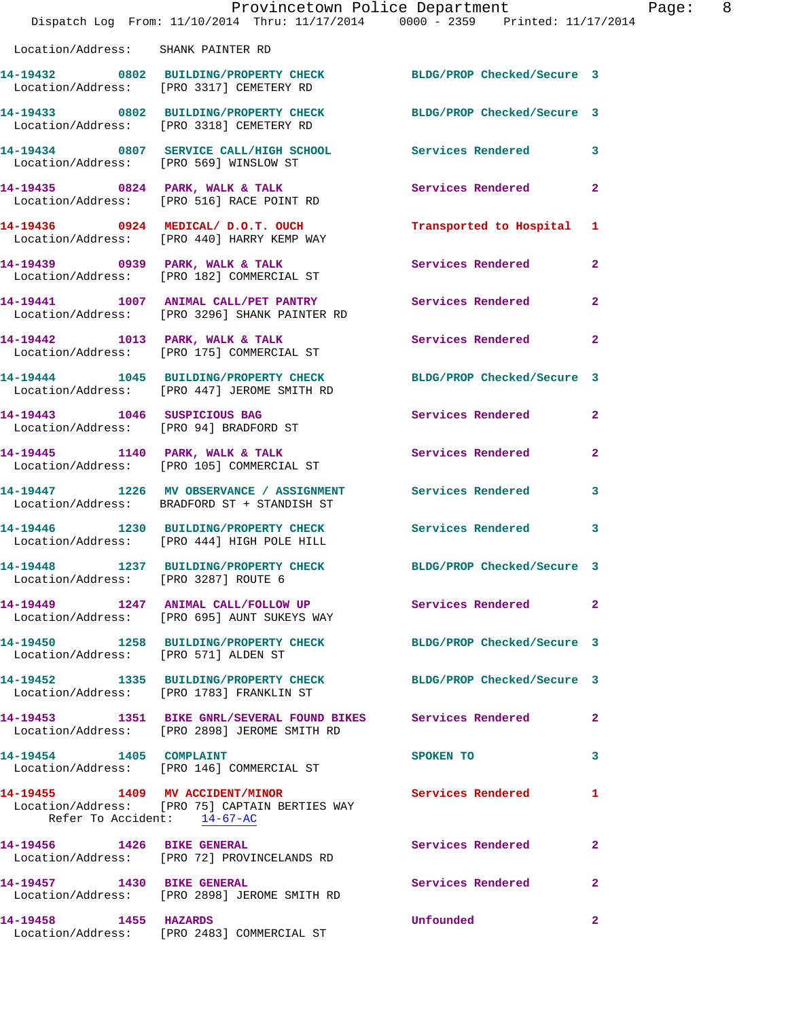|                                        | Dispatch Log From: 11/10/2014 Thru: 11/17/2014 0000 - 2359 Printed: 11/17/2014                                  | Provincetown Police Department | Page: 8        |
|----------------------------------------|-----------------------------------------------------------------------------------------------------------------|--------------------------------|----------------|
| Location/Address: SHANK PAINTER RD     |                                                                                                                 |                                |                |
|                                        | 14-19432 0802 BUILDING/PROPERTY CHECK BLDG/PROP Checked/Secure 3<br>Location/Address: [PRO 3317] CEMETERY RD    |                                |                |
|                                        | 14-19433 0802 BUILDING/PROPERTY CHECK<br>Location/Address: [PRO 3318] CEMETERY RD                               | BLDG/PROP Checked/Secure 3     |                |
| Location/Address: [PRO 569] WINSLOW ST | 14-19434 0807 SERVICE CALL/HIGH SCHOOL Services Rendered 3                                                      |                                |                |
|                                        | 14-19435 0824 PARK, WALK & TALK Services Rendered 2<br>Location/Address: [PRO 516] RACE POINT RD                |                                |                |
|                                        | 14-19436 0924 MEDICAL/D.O.T. OUCH<br>Location/Address: [PRO 440] HARRY KEMP WAY                                 | Transported to Hospital 1      |                |
|                                        | 14-19439 0939 PARK, WALK & TALK Services Rendered<br>Location/Address: [PRO 182] COMMERCIAL ST                  |                                | $\overline{a}$ |
|                                        | 14-19441 1007 ANIMAL CALL/PET PANTRY Services Rendered<br>Location/Address: [PRO 3296] SHANK PAINTER RD         |                                | $\mathbf{2}$   |
|                                        | 14-19442 1013 PARK, WALK & TALK<br>Location/Address: [PRO 175] COMMERCIAL ST                                    | Services Rendered              | $\mathbf{2}$   |
|                                        | 14-19444 1045 BUILDING/PROPERTY CHECK BLDG/PROP Checked/Secure 3<br>Location/Address: [PRO 447] JEROME SMITH RD |                                |                |
|                                        | 14-19443 1046 SUSPICIOUS BAG<br>Location/Address: [PRO 94] BRADFORD ST                                          | Services Rendered              | $\overline{2}$ |
|                                        | 14-19445 1140 PARK, WALK & TALK<br>Location/Address: [PRO 105] COMMERCIAL ST                                    | Services Rendered              | $\overline{2}$ |
|                                        | 14-19447 1226 MV OBSERVANCE / ASSIGNMENT Services Rendered<br>Location/Address: BRADFORD ST + STANDISH ST       |                                | 3              |
|                                        | 14-19446 1230 BUILDING/PROPERTY CHECK Services Rendered 3<br>Location/Address: [PRO 444] HIGH POLE HILL         |                                |                |
| Location/Address: [PRO 3287] ROUTE 6   | 14-19448 1237 BUILDING/PROPERTY CHECK BLDG/PROP Checked/Secure 3                                                |                                |                |
|                                        | 14-19449 1247 ANIMAL CALL/FOLLOW UP Services Rendered<br>Location/Address: [PRO 695] AUNT SUKEYS WAY            |                                | $\mathbf{2}$   |
| Location/Address: [PRO 571] ALDEN ST   | 14-19450 1258 BUILDING/PROPERTY CHECK BLDG/PROP Checked/Secure 3                                                |                                |                |
|                                        | 14-19452 1335 BUILDING/PROPERTY CHECK BLDG/PROP Checked/Secure 3<br>Location/Address: [PRO 1783] FRANKLIN ST    |                                |                |
|                                        | 14-19453 1351 BIKE GNRL/SEVERAL FOUND BIKES Services Rendered<br>Location/Address: [PRO 2898] JEROME SMITH RD   |                                | $\mathbf{2}$   |
|                                        | 14-19454 1405 COMPLAINT<br>Location/Address: [PRO 146] COMMERCIAL ST                                            | SPOKEN TO                      | 3              |
| Refer To Accident: 14-67-AC            | 14-19455 1409 MV ACCIDENT/MINOR<br>Location/Address: [PRO 75] CAPTAIN BERTIES WAY                               | <b>Services Rendered</b>       | 1              |
|                                        | 14-19456    1426 BIKE GENERAL<br>Location/Address: [PRO 72] PROVINCELANDS RD                                    | Services Rendered              | $\mathbf{2}$   |
|                                        | 14-19457 1430 BIKE GENERAL<br>Location/Address: [PRO 2898] JEROME SMITH RD                                      | Services Rendered              | $\mathbf{2}$   |
| 14-19458 1455 HAZARDS                  | Location/Address: [PRO 2483] COMMERCIAL ST                                                                      | Unfounded                      | $\mathbf{2}$   |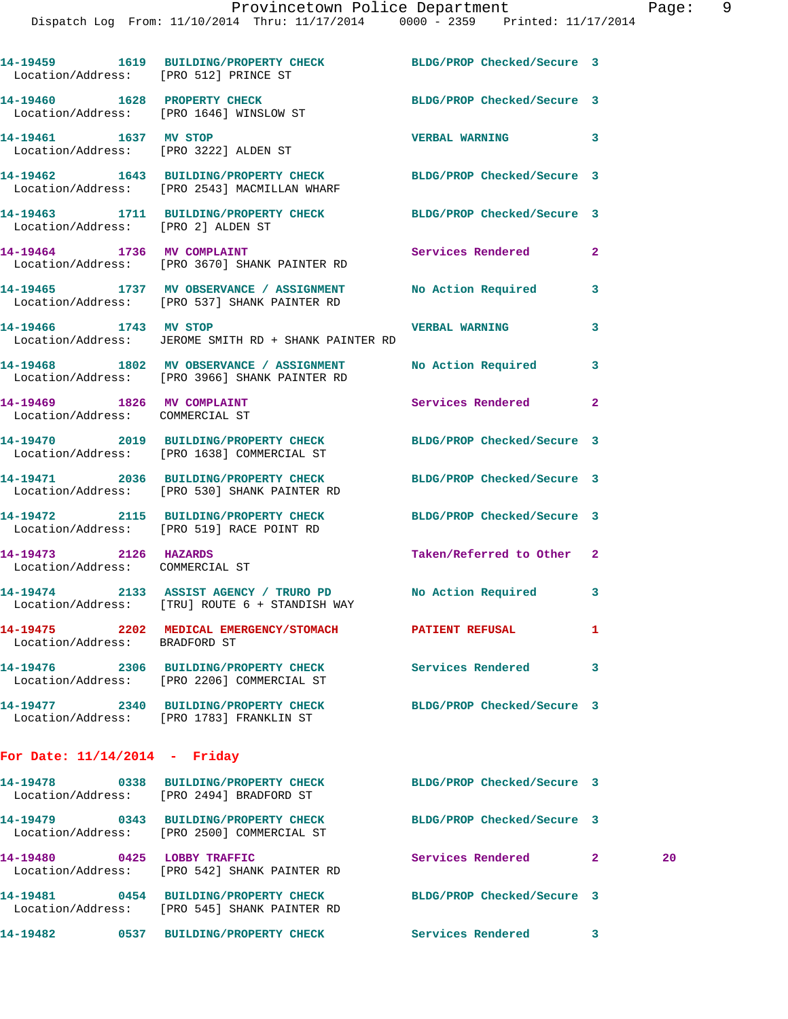| Location/Address: [PRO 512] PRINCE ST                         | 14-19459 1619 BUILDING/PROPERTY CHECK BLDG/PROP Checked/Secure 3                                                 |                            |                |    |
|---------------------------------------------------------------|------------------------------------------------------------------------------------------------------------------|----------------------------|----------------|----|
| Location/Address: [PRO 1646] WINSLOW ST                       | 14-19460 1628 PROPERTY CHECK                                                                                     | BLDG/PROP Checked/Secure 3 |                |    |
| 14-19461 1637 MV STOP                                         | Location/Address: [PRO 3222] ALDEN ST                                                                            | VERBAL WARNING 3           |                |    |
|                                                               | 14-19462 1643 BUILDING/PROPERTY CHECK BLDG/PROP Checked/Secure 3<br>Location/Address: [PRO 2543] MACMILLAN WHARF |                            |                |    |
| Location/Address: [PRO 2] ALDEN ST                            | 14-19463 1711 BUILDING/PROPERTY CHECK BLDG/PROP Checked/Secure 3                                                 |                            |                |    |
|                                                               | 14-19464 1736 MV COMPLAINT<br>Location/Address: [PRO 3670] SHANK PAINTER RD                                      | Services Rendered          | $\mathbf{2}$   |    |
|                                                               | 14-19465 1737 MV OBSERVANCE / ASSIGNMENT No Action Required<br>Location/Address: [PRO 537] SHANK PAINTER RD      |                            | 3              |    |
| 14-19466 1743 MV STOP                                         | Location/Address: JEROME SMITH RD + SHANK PAINTER RD                                                             | <b>VERBAL WARNING</b>      | 3              |    |
|                                                               | 14-19468 1802 MV OBSERVANCE / ASSIGNMENT No Action Required<br>Location/Address: [PRO 3966] SHANK PAINTER RD     |                            | 3              |    |
| 14-19469 1826 MV COMPLAINT<br>Location/Address: COMMERCIAL ST |                                                                                                                  | Services Rendered          | $\mathbf{2}$   |    |
|                                                               | 14-19470 2019 BUILDING/PROPERTY CHECK BLDG/PROP Checked/Secure 3<br>Location/Address: [PRO 1638] COMMERCIAL ST   |                            |                |    |
|                                                               | 14-19471 2036 BUILDING/PROPERTY CHECK BLDG/PROP Checked/Secure 3<br>Location/Address: [PRO 530] SHANK PAINTER RD |                            |                |    |
|                                                               | 14-19472 2115 BUILDING/PROPERTY CHECK BLDG/PROP Checked/Secure 3<br>Location/Address: [PRO 519] RACE POINT RD    |                            |                |    |
| 14-19473 2126 HAZARDS<br>Location/Address: COMMERCIAL ST      |                                                                                                                  | Taken/Referred to Other 2  |                |    |
|                                                               | 14-19474 2133 ASSIST AGENCY / TRURO PD No Action Required<br>Location/Address: [TRU] ROUTE 6 + STANDISH WAY      |                            | 3              |    |
| Location/Address: BRADFORD ST                                 |                                                                                                                  |                            | 1              |    |
|                                                               | 14-19476  2306 BUILDING/PROPERTY CHECK Services Rendered<br>Location/Address: [PRO 2206] COMMERCIAL ST           |                            | 3              |    |
|                                                               | 14-19477 2340 BUILDING/PROPERTY CHECK<br>Location/Address: [PRO 1783] FRANKLIN ST                                | BLDG/PROP Checked/Secure 3 |                |    |
| For Date: 11/14/2014 - Fridav                                 |                                                                                                                  |                            |                |    |
|                                                               | 14-19478 0338 BUILDING/PROPERTY CHECK BLDG/PROP Checked/Secure 3<br>Location/Address: [PRO 2494] BRADFORD ST     |                            |                |    |
|                                                               | 14-19479 0343 BUILDING/PROPERTY CHECK BLDG/PROP Checked/Secure 3<br>Location/Address: [PRO 2500] COMMERCIAL ST   |                            |                |    |
| 14-19480 0425 LOBBY TRAFFIC                                   | Location/Address: [PRO 542] SHANK PAINTER RD                                                                     | Services Rendered          | $\mathbf{2}^-$ | 20 |
|                                                               | 14-19481 0454 BUILDING/PROPERTY CHECK<br>Location/Address: [PRO 545] SHANK PAINTER RD                            | BLDG/PROP Checked/Secure 3 |                |    |
|                                                               |                                                                                                                  |                            |                |    |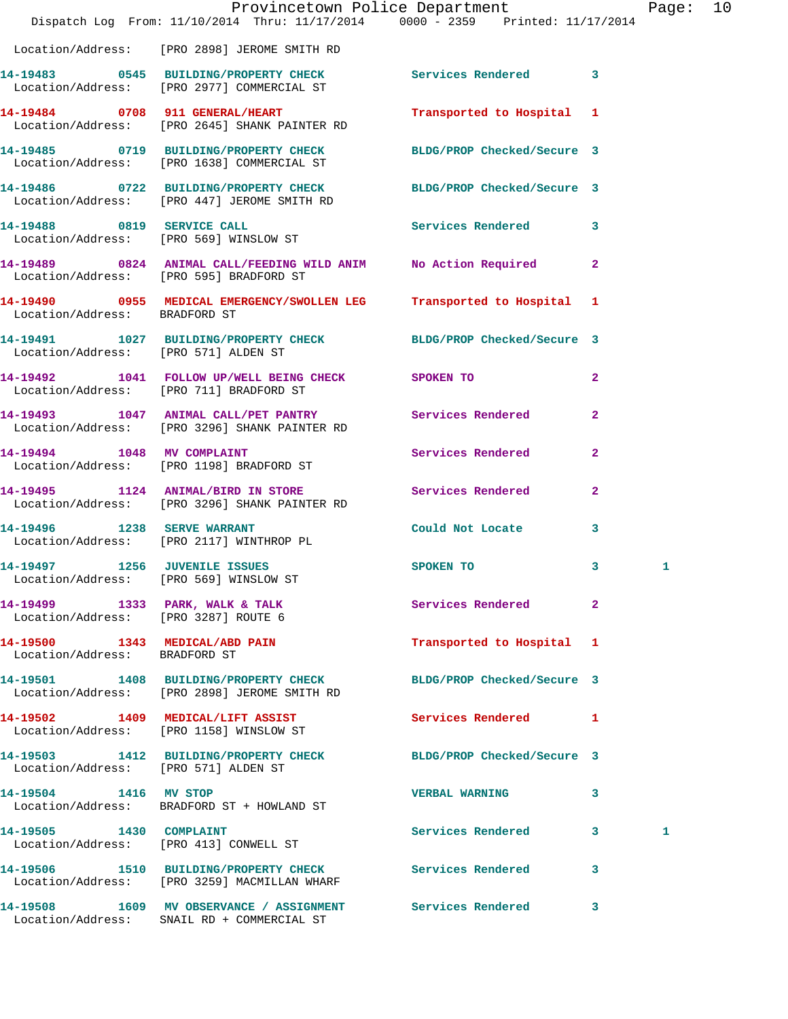|                                      | Dispatch Log From: 11/10/2014 Thru: 11/17/2014 0000 - 2359 Printed: 11/17/2014                                  | Provincetown Police Department |                | Page: 10 |  |
|--------------------------------------|-----------------------------------------------------------------------------------------------------------------|--------------------------------|----------------|----------|--|
|                                      | Location/Address: [PRO 2898] JEROME SMITH RD                                                                    |                                |                |          |  |
|                                      | 14-19483 0545 BUILDING/PROPERTY CHECK Services Rendered 3<br>Location/Address: [PRO 2977] COMMERCIAL ST         |                                |                |          |  |
|                                      | 14-19484 0708 911 GENERAL/HEART<br>Location/Address: [PRO 2645] SHANK PAINTER RD                                | Transported to Hospital 1      |                |          |  |
|                                      | 14-19485 0719 BUILDING/PROPERTY CHECK BLDG/PROP Checked/Secure 3<br>Location/Address: [PRO 1638] COMMERCIAL ST  |                                |                |          |  |
|                                      | 14-19486 0722 BUILDING/PROPERTY CHECK BLDG/PROP Checked/Secure 3<br>Location/Address: [PRO 447] JEROME SMITH RD |                                |                |          |  |
|                                      | 14-19488 0819 SERVICE CALL<br>Location/Address: [PRO 569] WINSLOW ST                                            | Services Rendered 3            |                |          |  |
|                                      | 14-19489 0824 ANIMAL CALL/FEEDING WILD ANIM No Action Required 2<br>Location/Address: [PRO 595] BRADFORD ST     |                                |                |          |  |
| Location/Address: BRADFORD ST        | 14-19490 0955 MEDICAL EMERGENCY/SWOLLEN LEG Transported to Hospital 1                                           |                                |                |          |  |
|                                      | 14-19491 1027 BUILDING/PROPERTY CHECK BLDG/PROP Checked/Secure 3<br>Location/Address: [PRO 571] ALDEN ST        |                                |                |          |  |
|                                      | 14-19492 1041 FOLLOW UP/WELL BEING CHECK SPOKEN TO<br>Location/Address: [PRO 711] BRADFORD ST                   |                                | $\mathbf{2}$   |          |  |
|                                      | 14-19493 1047 ANIMAL CALL/PET PANTRY<br>Location/Address: [PRO 3296] SHANK PAINTER RD                           |                                | $\mathbf{2}$   |          |  |
|                                      | 14-19494   1048 MV COMPLAINT<br>Location/Address: [PRO 1198] BRADFORD ST                                        | Services Rendered              | $\overline{2}$ |          |  |
|                                      | 14-19495 1124 ANIMAL/BIRD IN STORE Services Rendered<br>Location/Address: [PRO 3296] SHANK PAINTER RD           |                                | $\overline{2}$ |          |  |
|                                      | 14-19496 1238 SERVE WARRANT<br>Location/Address: [PRO 2117] WINTHROP PL                                         | Could Not Locate 3             |                |          |  |
| 14-19497 1256 JUVENILE ISSUES        | Location/Address: [PRO 569] WINSLOW ST                                                                          | SPOKEN TO                      | $\mathbf{3}$   | 1        |  |
|                                      | 14-19499 1333 PARK, WALK & TALK<br>Location/Address: [PRO 3287] ROUTE 6                                         | Services Rendered 2            |                |          |  |
| Location/Address: BRADFORD ST        | 14-19500 1343 MEDICAL/ABD PAIN                                                                                  | Transported to Hospital 1      |                |          |  |
|                                      | 14-19501 1408 BUILDING/PROPERTY CHECK<br>Location/Address: [PRO 2898] JEROME SMITH RD                           | BLDG/PROP Checked/Secure 3     |                |          |  |
|                                      | 14-19502 1409 MEDICAL/LIFT ASSIST<br>Location/Address: [PRO 1158] WINSLOW ST                                    | Services Rendered 1            |                |          |  |
| Location/Address: [PRO 571] ALDEN ST | 14-19503 1412 BUILDING/PROPERTY CHECK BLDG/PROP Checked/Secure 3                                                |                                |                |          |  |
| 14-19504 1416 MV STOP                | Location/Address: BRADFORD ST + HOWLAND ST                                                                      | <b>VERBAL WARNING</b>          | 3              |          |  |
| 14-19505 1430 COMPLAINT              | Location/Address: [PRO 413] CONWELL ST                                                                          | Services Rendered 3            |                | 1        |  |
|                                      | 14-19506 1510 BUILDING/PROPERTY CHECK Services Rendered 3<br>Location/Address: [PRO 3259] MACMILLAN WHARF       |                                |                |          |  |
|                                      | 14-19508 1609 MV OBSERVANCE / ASSIGNMENT Services Rendered 3<br>Location/Address: SNAIL RD + COMMERCIAL ST      |                                |                |          |  |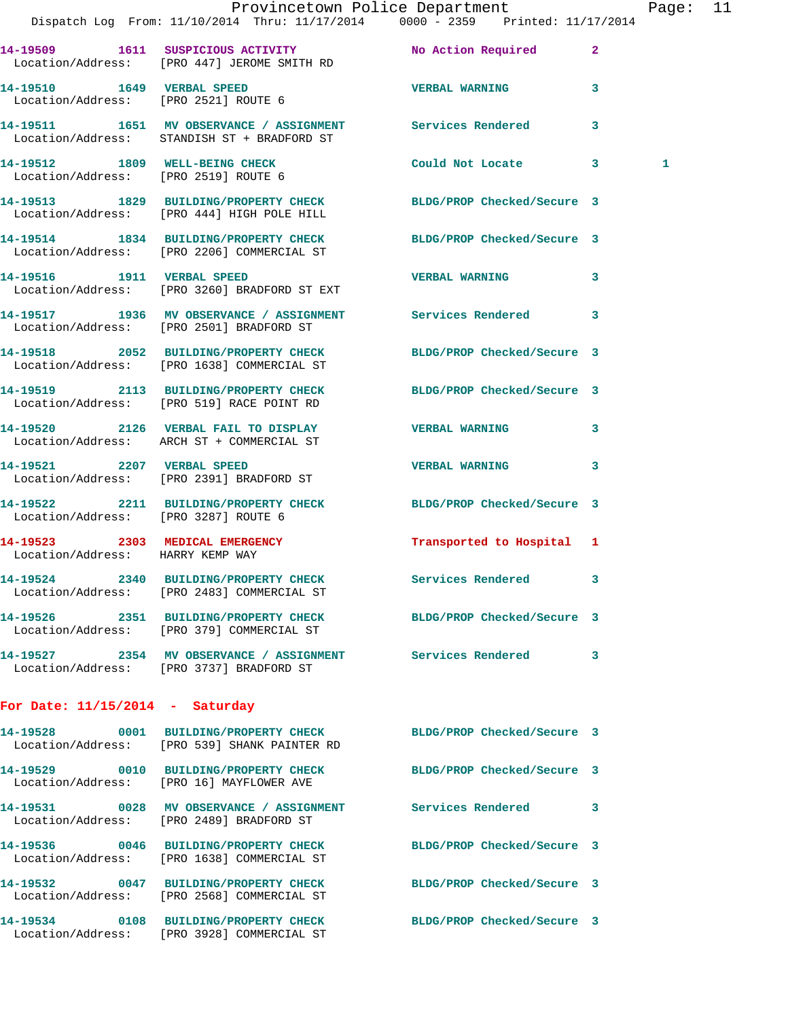|                                      | Dispatch Log From: 11/10/2014 Thru: 11/17/2014 0000 - 2359 Printed: 11/17/2014                                       | Provincetown Police Department Page: 11 |              |   |  |
|--------------------------------------|----------------------------------------------------------------------------------------------------------------------|-----------------------------------------|--------------|---|--|
|                                      | 14-19509 1611 SUSPICIOUS ACTIVITY No Action Required 2<br>Location/Address: [PRO 447] JEROME SMITH RD                |                                         |              |   |  |
|                                      | 14-19510 1649 VERBAL SPEED<br>Location/Address: [PRO 2521] ROUTE 6                                                   | <b>VERBAL WARNING</b> 3                 |              |   |  |
|                                      | 14-19511 1651 MV OBSERVANCE / ASSIGNMENT Services Rendered<br>Location/Address: STANDISH ST + BRADFORD ST            |                                         | $\mathbf{3}$ |   |  |
|                                      | 14-19512 1809 WELL-BEING CHECK<br>Location/Address: [PRO 2519] ROUTE 6                                               | Could Not Locate 3                      |              | 1 |  |
|                                      | 14-19513   1829   BUILDING/PROPERTY CHECK   BLDG/PROP Checked/Secure 3<br>Location/Address: [PRO 444] HIGH POLE HILL |                                         |              |   |  |
|                                      | 14-19514 1834 BUILDING/PROPERTY CHECK BLDG/PROP Checked/Secure 3<br>Location/Address: [PRO 2206] COMMERCIAL ST       |                                         |              |   |  |
|                                      | 14-19516 1911 VERBAL SPEED<br>Location/Address: [PRO 3260] BRADFORD ST EXT                                           | <b>VERBAL WARNING</b>                   | 3            |   |  |
|                                      | 14-19517 1936 MV OBSERVANCE / ASSIGNMENT Services Rendered 3<br>Location/Address: [PRO 2501] BRADFORD ST             |                                         |              |   |  |
|                                      | 14-19518 2052 BUILDING/PROPERTY CHECK BLDG/PROP Checked/Secure 3<br>Location/Address: [PRO 1638] COMMERCIAL ST       |                                         |              |   |  |
|                                      | 14-19519 2113 BUILDING/PROPERTY CHECK BLDG/PROP Checked/Secure 3<br>Location/Address: [PRO 519] RACE POINT RD        |                                         |              |   |  |
|                                      | 14-19520 2126 VERBAL FAIL TO DISPLAY WERBAL WARNING 3<br>Location/Address: ARCH ST + COMMERCIAL ST                   |                                         |              |   |  |
|                                      | 14-19521 2207 VERBAL SPEED<br>Location/Address: [PRO 2391] BRADFORD ST                                               | <b>VERBAL WARNING</b>                   | 3            |   |  |
| Location/Address: [PRO 3287] ROUTE 6 | 14-19522 2211 BUILDING/PROPERTY CHECK BLDG/PROP Checked/Secure 3                                                     |                                         |              |   |  |
| Location/Address: HARRY KEMP WAY     | 14-19523 2303 MEDICAL EMERGENCY Transported to Hospital 1                                                            |                                         |              |   |  |
|                                      | 14-19524 2340 BUILDING/PROPERTY CHECK<br>Location/Address: [PRO 2483] COMMERCIAL ST                                  | <b>Services Rendered</b>                |              |   |  |
|                                      | 14-19526 2351 BUILDING/PROPERTY CHECK BLDG/PROP Checked/Secure 3<br>Location/Address: [PRO 379] COMMERCIAL ST        |                                         |              |   |  |
|                                      | 14-19527 2354 MV OBSERVANCE / ASSIGNMENT Services Rendered 3<br>Location/Address: [PRO 3737] BRADFORD ST             |                                         |              |   |  |
| For Date: $11/15/2014$ - Saturday    |                                                                                                                      |                                         |              |   |  |
|                                      | 14-19528 0001 BUILDING/PROPERTY CHECK<br>Location/Address: [PRO 539] SHANK PAINTER RD                                | BLDG/PROP Checked/Secure 3              |              |   |  |
|                                      | 14-19529 0010 BUILDING/PROPERTY CHECK BLDG/PROP Checked/Secure 3<br>Location/Address: [PRO 16] MAYFLOWER AVE         |                                         |              |   |  |
|                                      | 14-19531 0028 MV OBSERVANCE / ASSIGNMENT Services Rendered 3<br>Location/Address: [PRO 2489] BRADFORD ST             |                                         |              |   |  |
|                                      | 14-19536 0046 BUILDING/PROPERTY CHECK<br>Location/Address: [PRO 1638] COMMERCIAL ST                                  | BLDG/PROP Checked/Secure 3              |              |   |  |
|                                      | 14-19532 0047 BUILDING/PROPERTY CHECK BLDG/PROP Checked/Secure 3<br>Location/Address: [PRO 2568] COMMERCIAL ST       |                                         |              |   |  |
|                                      | 14-19534 0108 BUILDING/PROPERTY CHECK<br>Location/Address: [PRO 3928] COMMERCIAL ST                                  | BLDG/PROP Checked/Secure 3              |              |   |  |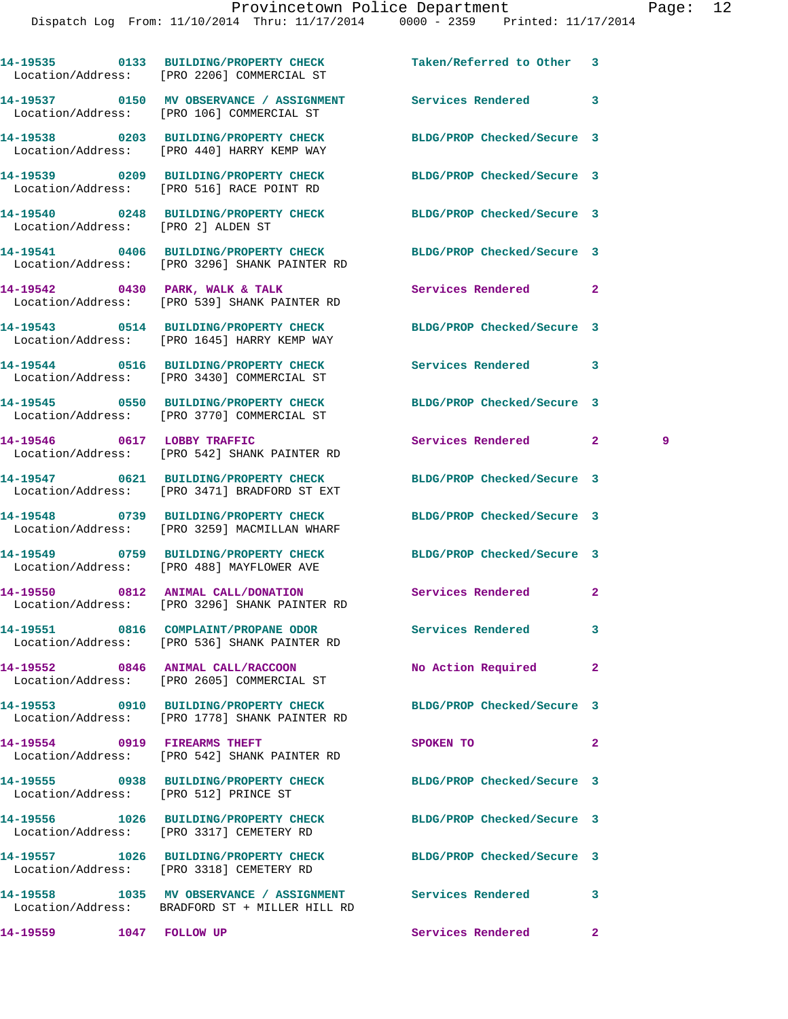|                                       | 14-19535 0133 BUILDING/PROPERTY CHECK<br>Location/Address: [PRO 2206] COMMERCIAL ST                               | Taken/Referred to Other 3  |                     |
|---------------------------------------|-------------------------------------------------------------------------------------------------------------------|----------------------------|---------------------|
|                                       | 14-19537 0150 MV OBSERVANCE / ASSIGNMENT Services Rendered<br>Location/Address: [PRO 106] COMMERCIAL ST           |                            | 3                   |
|                                       | 14-19538 0203 BUILDING/PROPERTY CHECK<br>Location/Address: [PRO 440] HARRY KEMP WAY                               | BLDG/PROP Checked/Secure 3 |                     |
|                                       | 14-19539 0209 BUILDING/PROPERTY CHECK<br>Location/Address: [PRO 516] RACE POINT RD                                | BLDG/PROP Checked/Secure 3 |                     |
| Location/Address: [PRO 2] ALDEN ST    | 14-19540 0248 BUILDING/PROPERTY CHECK                                                                             | BLDG/PROP Checked/Secure 3 |                     |
|                                       | 14-19541 0406 BUILDING/PROPERTY CHECK BLDG/PROP Checked/Secure 3<br>Location/Address: [PRO 3296] SHANK PAINTER RD |                            |                     |
|                                       | 14-19542 0430 PARK, WALK & TALK<br>Location/Address: [PRO 539] SHANK PAINTER RD                                   | Services Rendered          | $\overline{2}$      |
|                                       | 14-19543 0514 BUILDING/PROPERTY CHECK<br>Location/Address: [PRO 1645] HARRY KEMP WAY                              | BLDG/PROP Checked/Secure 3 |                     |
|                                       | 14-19544 0516 BUILDING/PROPERTY CHECK<br>Location/Address: [PRO 3430] COMMERCIAL ST                               | <b>Services Rendered</b>   | 3                   |
|                                       | 14-19545 0550 BUILDING/PROPERTY CHECK<br>Location/Address: [PRO 3770] COMMERCIAL ST                               | BLDG/PROP Checked/Secure 3 |                     |
| 14-19546 0617 LOBBY TRAFFIC           | Location/Address: [PRO 542] SHANK PAINTER RD                                                                      | Services Rendered          | $\mathbf{2}^-$<br>9 |
|                                       | 14-19547 0621 BUILDING/PROPERTY CHECK<br>Location/Address: [PRO 3471] BRADFORD ST EXT                             | BLDG/PROP Checked/Secure 3 |                     |
|                                       | 14-19548 0739 BUILDING/PROPERTY CHECK<br>Location/Address: [PRO 3259] MACMILLAN WHARF                             | BLDG/PROP Checked/Secure 3 |                     |
|                                       | 14-19549 0759 BUILDING/PROPERTY CHECK<br>Location/Address: [PRO 488] MAYFLOWER AVE                                | BLDG/PROP Checked/Secure 3 |                     |
|                                       | 14-19550 0812 ANIMAL CALL/DONATION<br>Location/Address: [PRO 3296] SHANK PAINTER RD                               | Services Rendered          | $\mathbf{2}$        |
|                                       | 14-19551 0816 COMPLAINT/PROPANE ODOR<br>Location/Address: [PRO 536] SHANK PAINTER RD                              | Services Rendered          | 3                   |
|                                       | 14-19552 0846 ANIMAL CALL/RACCOON<br>Location/Address: [PRO 2605] COMMERCIAL ST                                   | No Action Required         | $\mathbf{2}$        |
|                                       | 14-19553 0910 BUILDING/PROPERTY CHECK<br>Location/Address: [PRO 1778] SHANK PAINTER RD                            | BLDG/PROP Checked/Secure 3 |                     |
| 14-19554 0919 FIREARMS THEFT          | Location/Address: [PRO 542] SHANK PAINTER RD                                                                      | SPOKEN TO                  | $\overline{a}$      |
| Location/Address: [PRO 512] PRINCE ST | 14-19555 0938 BUILDING/PROPERTY CHECK                                                                             | BLDG/PROP Checked/Secure 3 |                     |
|                                       | 14-19556 1026 BUILDING/PROPERTY CHECK<br>Location/Address: [PRO 3317] CEMETERY RD                                 | BLDG/PROP Checked/Secure 3 |                     |
|                                       | 14-19557 1026 BUILDING/PROPERTY CHECK<br>Location/Address: [PRO 3318] CEMETERY RD                                 | BLDG/PROP Checked/Secure 3 |                     |
|                                       | 14-19558 1035 MV OBSERVANCE / ASSIGNMENT<br>Location/Address: BRADFORD ST + MILLER HILL RD                        | Services Rendered          | 3                   |
| 14-19559 1047 FOLLOW UP               |                                                                                                                   | Services Rendered          | $\mathbf{2}$        |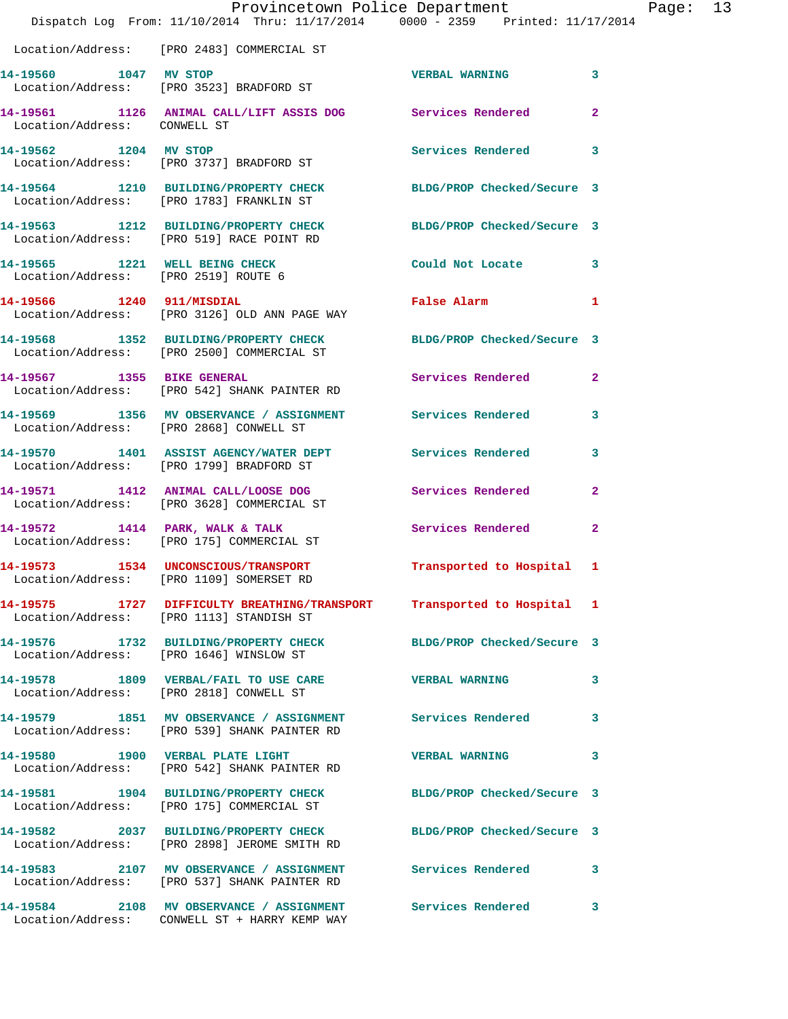|                                                                        | Provincetown Police Department<br>Dispatch Log From: 11/10/2014 Thru: 11/17/2014 0000 - 2359 Printed: 11/17/2014   |                            |                |
|------------------------------------------------------------------------|--------------------------------------------------------------------------------------------------------------------|----------------------------|----------------|
|                                                                        | Location/Address: [PRO 2483] COMMERCIAL ST                                                                         |                            |                |
| 14-19560 1047 MV STOP                                                  | Location/Address: [PRO 3523] BRADFORD ST                                                                           | <b>VERBAL WARNING</b>      | 3              |
| Location/Address: CONWELL ST                                           | 14-19561 1126 ANIMAL CALL/LIFT ASSIS DOG Services Rendered                                                         |                            | $\mathbf{2}$   |
| 14-19562 1204 MV STOP                                                  | Location/Address: [PRO 3737] BRADFORD ST                                                                           | Services Rendered          | 3              |
|                                                                        | 14-19564 1210 BUILDING/PROPERTY CHECK BLDG/PROP Checked/Secure 3<br>Location/Address: [PRO 1783] FRANKLIN ST       |                            |                |
|                                                                        | 14-19563 1212 BUILDING/PROPERTY CHECK<br>Location/Address: [PRO 519] RACE POINT RD                                 | BLDG/PROP Checked/Secure 3 |                |
| 14-19565 1221 WELL BEING CHECK<br>Location/Address: [PRO 2519] ROUTE 6 |                                                                                                                    | Could Not Locate           | 3              |
|                                                                        | 14-19566 1240 911/MISDIAL<br>Location/Address: [PRO 3126] OLD ANN PAGE WAY                                         | <b>False Alarm</b>         | 1              |
|                                                                        | 14-19568 1352 BUILDING/PROPERTY CHECK<br>Location/Address: [PRO 2500] COMMERCIAL ST                                | BLDG/PROP Checked/Secure 3 |                |
| 14-19567 1355 BIKE GENERAL                                             | Location/Address: [PRO 542] SHANK PAINTER RD                                                                       | Services Rendered          | $\overline{2}$ |
|                                                                        | 14-19569 1356 MV OBSERVANCE / ASSIGNMENT Services Rendered<br>Location/Address: [PRO 2868] CONWELL ST              |                            | 3              |
|                                                                        | 14-19570 1401 ASSIST AGENCY/WATER DEPT Services Rendered<br>Location/Address: [PRO 1799] BRADFORD ST               |                            | 3              |
|                                                                        | 14-19571 1412 ANIMAL CALL/LOOSE DOG<br>Location/Address: [PRO 3628] COMMERCIAL ST                                  | Services Rendered          | $\mathbf{2}$   |
|                                                                        | 14-19572 1414 PARK, WALK & TALK<br>Location/Address: [PRO 175] COMMERCIAL ST                                       | Services Rendered          | $\mathbf{2}$   |
|                                                                        | 14-19573 1534 UNCONSCIOUS/TRANSPORT<br>Location/Address: [PRO 1109] SOMERSET RD                                    | Transported to Hospital    | 1              |
|                                                                        | 14-19575 1727 DIFFICULTY BREATHING/TRANSPORT Transported to Hospital 1<br>Location/Address: [PRO 1113] STANDISH ST |                            |                |
|                                                                        | 14-19576 1732 BUILDING/PROPERTY CHECK BLDG/PROP Checked/Secure 3<br>Location/Address: [PRO 1646] WINSLOW ST        |                            |                |
|                                                                        | 14-19578 1809 VERBAL/FAIL TO USE CARE<br>Location/Address: [PRO 2818] CONWELL ST                                   | <b>VERBAL WARNING</b>      | 3              |
|                                                                        | 14-19579 1851 MV OBSERVANCE / ASSIGNMENT Services Rendered<br>Location/Address: [PRO 539] SHANK PAINTER RD         |                            | 3              |
|                                                                        | 14-19580 1900 VERBAL PLATE LIGHT<br>Location/Address: [PRO 542] SHANK PAINTER RD                                   | <b>VERBAL WARNING</b>      | 3              |
|                                                                        | 14-19581 1904 BUILDING/PROPERTY CHECK<br>Location/Address: [PRO 175] COMMERCIAL ST                                 | BLDG/PROP Checked/Secure 3 |                |
|                                                                        | 14-19582 2037 BUILDING/PROPERTY CHECK BLDG/PROP Checked/Secure 3<br>Location/Address: [PRO 2898] JEROME SMITH RD   |                            |                |
|                                                                        | 14-19583 2107 MV OBSERVANCE / ASSIGNMENT Services Rendered<br>Location/Address: [PRO 537] SHANK PAINTER RD         |                            | 3              |
|                                                                        | 14-19584 2108 MV OBSERVANCE / ASSIGNMENT Services Rendered<br>Location/Address: CONWELL ST + HARRY KEMP WAY        |                            | 3              |

Page: 13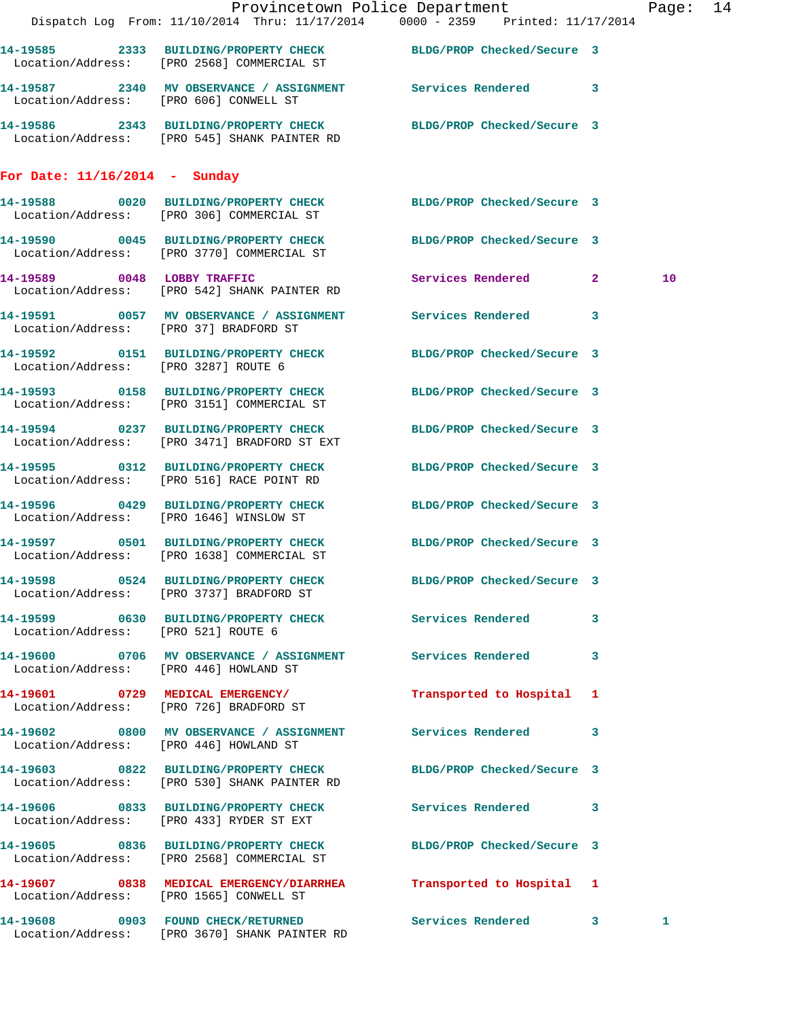|                                        | Dispatch Log From: 11/10/2014 Thru: 11/17/2014 0000 - 2359 Printed: 11/17/2014                                   | Provincetown Police Department | Page: 14        |
|----------------------------------------|------------------------------------------------------------------------------------------------------------------|--------------------------------|-----------------|
|                                        |                                                                                                                  |                                |                 |
|                                        | 14-19585 2333 BUILDING/PROPERTY CHECK BLDG/PROP Checked/Secure 3<br>Location/Address: [PRO 2568] COMMERCIAL ST   |                                |                 |
|                                        | 14-19587  2340 MV OBSERVANCE / ASSIGNMENT Services Rendered 3<br>Location/Address: [PRO 606] CONWELL ST          |                                |                 |
|                                        | 14-19586 2343 BUILDING/PROPERTY CHECK BLDG/PROP Checked/Secure 3<br>Location/Address: [PRO 545] SHANK PAINTER RD |                                |                 |
| For Date: $11/16/2014$ - Sunday        |                                                                                                                  |                                |                 |
|                                        | 14-19588 0020 BUILDING/PROPERTY CHECK BLDG/PROP Checked/Secure 3<br>Location/Address: [PRO 306] COMMERCIAL ST    |                                |                 |
|                                        | 14-19590 0045 BUILDING/PROPERTY CHECK BLDG/PROP Checked/Secure 3<br>Location/Address: [PRO 3770] COMMERCIAL ST   |                                |                 |
|                                        | 14-19589 0048 LOBBY TRAFFIC<br>Location/Address: [PRO 542] SHANK PAINTER RD                                      | Services Rendered 2            | 10 <sup>°</sup> |
| Location/Address: [PRO 37] BRADFORD ST | 14-19591 0057 MV OBSERVANCE / ASSIGNMENT Services Rendered 3                                                     |                                |                 |
| Location/Address: [PRO 3287] ROUTE 6   | 14-19592 0151 BUILDING/PROPERTY CHECK BLDG/PROP Checked/Secure 3                                                 |                                |                 |
|                                        | 14-19593 0158 BUILDING/PROPERTY CHECK BLDG/PROP Checked/Secure 3<br>Location/Address: [PRO 3151] COMMERCIAL ST   |                                |                 |
|                                        | 14-19594 0237 BUILDING/PROPERTY CHECK BLDG/PROP Checked/Secure 3<br>Location/Address: [PRO 3471] BRADFORD ST EXT |                                |                 |
|                                        | 14-19595 0312 BUILDING/PROPERTY CHECK<br>Location/Address: [PRO 516] RACE POINT RD                               | BLDG/PROP Checked/Secure 3     |                 |
|                                        | 14-19596 0429 BUILDING/PROPERTY CHECK BLDG/PROP Checked/Secure 3<br>Location/Address: [PRO 1646] WINSLOW ST      |                                |                 |
|                                        | 14-19597 0501 BUILDING/PROPERTY CHECK BLDG/PROP Checked/Secure 3<br>Location/Address: [PRO 1638] COMMERCIAL ST   |                                |                 |
|                                        | 14-19598 0524 BUILDING/PROPERTY CHECK<br>Location/Address: [PRO 3737] BRADFORD ST                                | BLDG/PROP Checked/Secure 3     |                 |
| Location/Address: [PRO 521] ROUTE 6    | 14-19599 0630 BUILDING/PROPERTY CHECK Services Rendered 3                                                        |                                |                 |
| Location/Address: [PRO 446] HOWLAND ST | 14-19600 0706 MV OBSERVANCE / ASSIGNMENT Services Rendered 3                                                     |                                |                 |
|                                        | 14-19601 0729 MEDICAL EMERGENCY/<br>Location/Address: [PRO 726] BRADFORD ST                                      | Transported to Hospital 1      |                 |
| Location/Address: [PRO 446] HOWLAND ST | 14-19602 0800 MV OBSERVANCE / ASSIGNMENT Services Rendered 3                                                     |                                |                 |
|                                        | 14-19603 0822 BUILDING/PROPERTY CHECK BLDG/PROP Checked/Secure 3<br>Location/Address: [PRO 530] SHANK PAINTER RD |                                |                 |
|                                        | 14-19606 0833 BUILDING/PROPERTY CHECK Services Rendered 3<br>Location/Address: [PRO 433] RYDER ST EXT            |                                |                 |
|                                        | 14-19605 0836 BUILDING/PROPERTY CHECK BLDG/PROP Checked/Secure 3<br>Location/Address: [PRO 2568] COMMERCIAL ST   |                                |                 |
|                                        | 14-19607 0838 MEDICAL EMERGENCY/DIARRHEA Transported to Hospital 1<br>Location/Address: [PRO 1565] CONWELL ST    |                                |                 |
|                                        | 14-19608 0903 FOUND CHECK/RETURNED<br>Location/Address: [PRO 3670] SHANK PAINTER RD                              | Services Rendered 3            | 1               |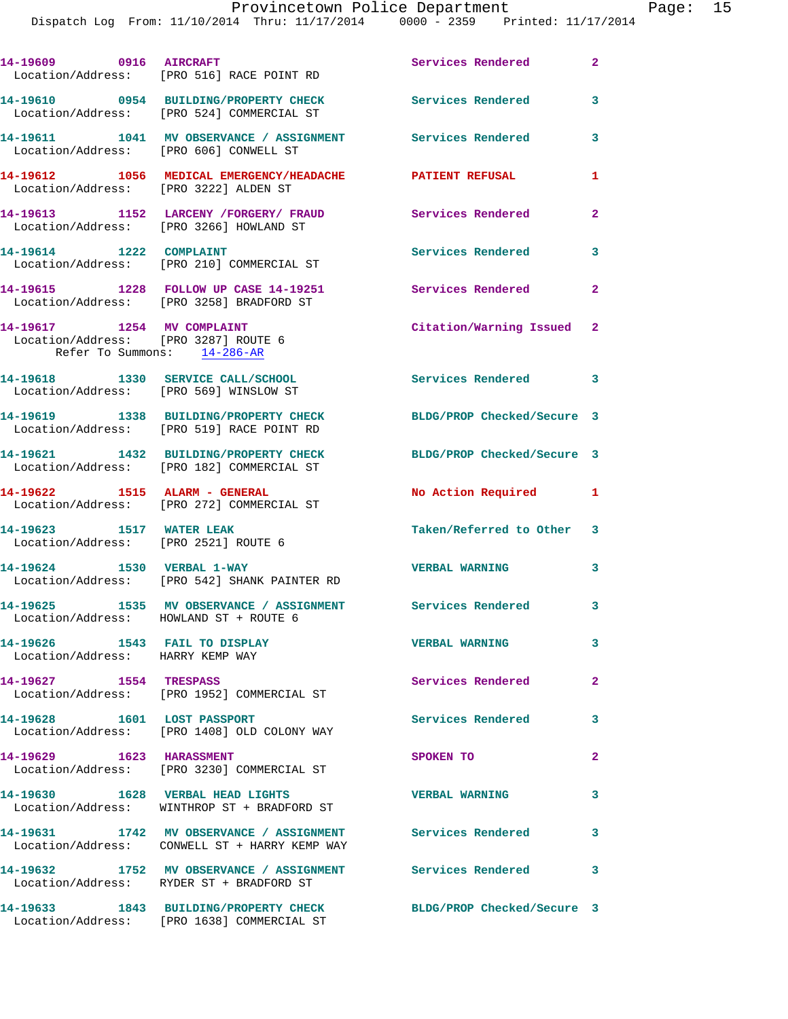| 14-19609 0916 AIRCRAFT                                                                            | Location/Address: [PRO 516] RACE POINT RD                                                                   | Services Rendered          | $\overline{2}$ |
|---------------------------------------------------------------------------------------------------|-------------------------------------------------------------------------------------------------------------|----------------------------|----------------|
|                                                                                                   | 14-19610 0954 BUILDING/PROPERTY CHECK<br>Location/Address: [PRO 524] COMMERCIAL ST                          | <b>Services Rendered</b>   | 3              |
| Location/Address: [PRO 606] CONWELL ST                                                            | 14-19611 1041 MV OBSERVANCE / ASSIGNMENT Services Rendered                                                  |                            | 3              |
| Location/Address: [PRO 3222] ALDEN ST                                                             | 14-19612 1056 MEDICAL EMERGENCY/HEADACHE PATIENT REFUSAL                                                    |                            | $\mathbf{1}$   |
|                                                                                                   | 14-19613 1152 LARCENY /FORGERY/ FRAUD<br>Location/Address: [PRO 3266] HOWLAND ST                            | Services Rendered          | $\mathbf{2}$   |
| 14-19614 1222 COMPLAINT                                                                           | Location/Address: [PRO 210] COMMERCIAL ST                                                                   | Services Rendered          | 3              |
|                                                                                                   | 14-19615 1228 FOLLOW UP CASE 14-19251<br>Location/Address: [PRO 3258] BRADFORD ST                           | Services Rendered          | $\mathbf{2}$   |
| 14-19617 1254 MV COMPLAINT<br>Location/Address: [PRO 3287] ROUTE 6<br>Refer To Summons: 14-286-AR |                                                                                                             | Citation/Warning Issued 2  |                |
| 14-19618 1330 SERVICE CALL/SCHOOL<br>Location/Address: [PRO 569] WINSLOW ST                       |                                                                                                             | Services Rendered 3        |                |
|                                                                                                   | 14-19619 1338 BUILDING/PROPERTY CHECK<br>Location/Address: [PRO 519] RACE POINT RD                          | BLDG/PROP Checked/Secure 3 |                |
|                                                                                                   | 14-19621 1432 BUILDING/PROPERTY CHECK<br>Location/Address: [PRO 182] COMMERCIAL ST                          | BLDG/PROP Checked/Secure 3 |                |
| 14-19622 1515 ALARM - GENERAL                                                                     | Location/Address: [PRO 272] COMMERCIAL ST                                                                   | No Action Required 1       |                |
| 14-19623 1517 WATER LEAK<br>Location/Address: [PRO 2521] ROUTE 6                                  |                                                                                                             | Taken/Referred to Other 3  |                |
| 14-19624 1530 VERBAL 1-WAY                                                                        | Location/Address: [PRO 542] SHANK PAINTER RD                                                                | <b>VERBAL WARNING</b>      | 3              |
|                                                                                                   | 14-19625 1535 MV OBSERVANCE / ASSIGNMENT Services Rendered 3<br>Location/Address: HOWLAND ST + ROUTE 6      |                            |                |
| 14-19626 1543 FAIL TO DISPLAY<br>Location/Address: HARRY KEMP WAY                                 |                                                                                                             | <b>VERBAL WARNING</b>      | 3              |
| 14-19627 1554 TRESPASS                                                                            | Location/Address: [PRO 1952] COMMERCIAL ST                                                                  | Services Rendered          | $\mathbf{2}$   |
| 14-19628 1601 LOST PASSPORT                                                                       | Location/Address: [PRO 1408] OLD COLONY WAY                                                                 | <b>Services Rendered</b>   | 3              |
| 14-19629 1623 HARASSMENT                                                                          | Location/Address: [PRO 3230] COMMERCIAL ST                                                                  | SPOKEN TO                  | $\overline{a}$ |
|                                                                                                   | 14-19630 1628 VERBAL HEAD LIGHTS<br>Location/Address: WINTHROP ST + BRADFORD ST                             | <b>VERBAL WARNING</b>      | 3              |
|                                                                                                   | 14-19631 1742 MV OBSERVANCE / ASSIGNMENT Services Rendered<br>Location/Address: CONWELL ST + HARRY KEMP WAY |                            | 3              |
|                                                                                                   | 14-19632 1752 MV OBSERVANCE / ASSIGNMENT Services Rendered<br>Location/Address: RYDER ST + BRADFORD ST      |                            | 3              |
|                                                                                                   | 14-19633 1843 BUILDING/PROPERTY CHECK<br>Location/Address: [PRO 1638] COMMERCIAL ST                         | BLDG/PROP Checked/Secure 3 |                |